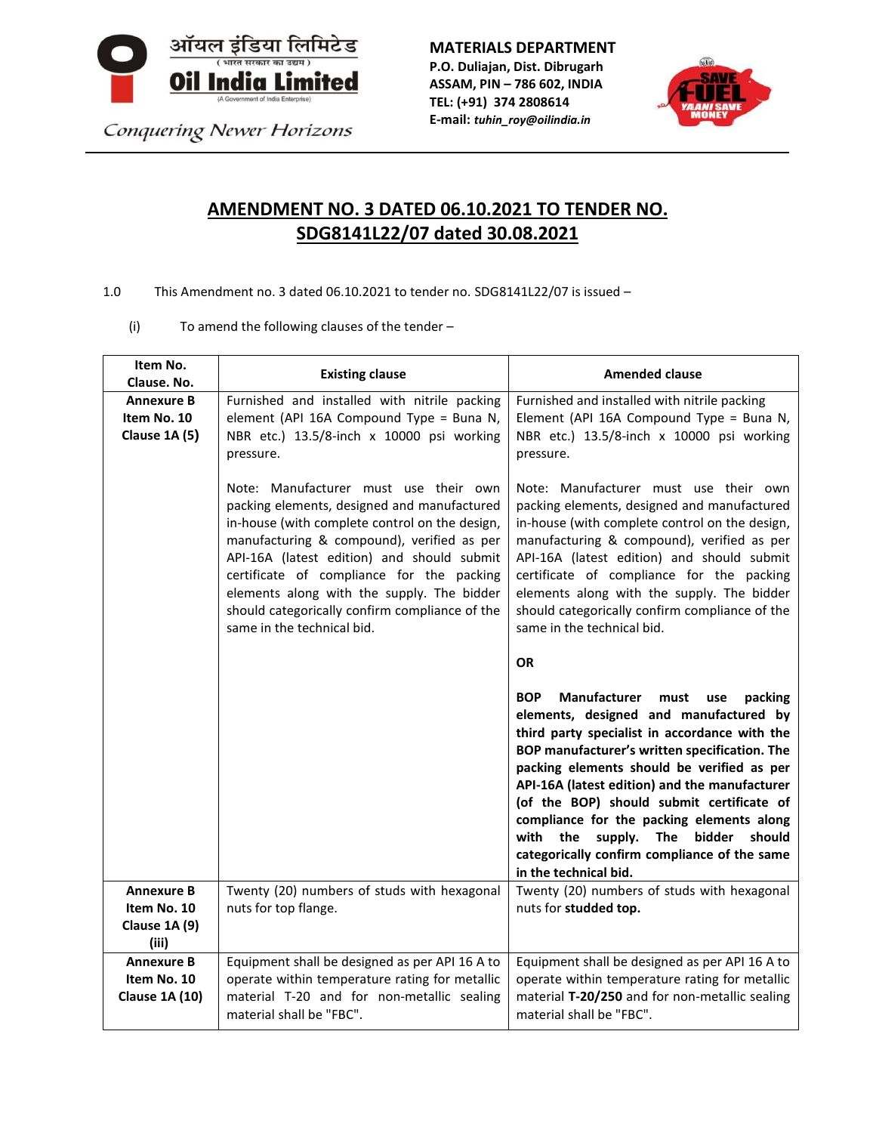

Conquering Newer Horizons

**MATERIALS DEPARTMENT**

**P.O. Duliajan, Dist. Dibrugarh ASSAM, PIN – 786 602, INDIA TEL: (+91) 374 2808614 E-mail:** *tuhin\_roy@oilindia.in*



## **AMENDMENT NO. 3 DATED 06.10.2021 TO TENDER NO. SDG8141L22/07 dated 30.08.2021**

- 1.0 This Amendment no. 3 dated 06.10.2021 to tender no. SDG8141L22/07 is issued
	- (i) To amend the following clauses of the tender –

| Item No.<br>Clause. No.                                    | <b>Existing clause</b>                                                                                                                                                                                                                                                                                                                                                                                        | <b>Amended clause</b>                                                                                                                                                                                                                                                                                                                                                                                                                                                                                                    |
|------------------------------------------------------------|---------------------------------------------------------------------------------------------------------------------------------------------------------------------------------------------------------------------------------------------------------------------------------------------------------------------------------------------------------------------------------------------------------------|--------------------------------------------------------------------------------------------------------------------------------------------------------------------------------------------------------------------------------------------------------------------------------------------------------------------------------------------------------------------------------------------------------------------------------------------------------------------------------------------------------------------------|
| <b>Annexure B</b><br>Item No. 10<br>Clause 1A (5)          | Furnished and installed with nitrile packing<br>element (API 16A Compound Type = Buna N,<br>NBR etc.) 13.5/8-inch x 10000 psi working<br>pressure.                                                                                                                                                                                                                                                            | Furnished and installed with nitrile packing<br>Element (API 16A Compound Type = Buna N,<br>NBR etc.) 13.5/8-inch x 10000 psi working<br>pressure.                                                                                                                                                                                                                                                                                                                                                                       |
|                                                            | Note: Manufacturer must use their own<br>packing elements, designed and manufactured<br>in-house (with complete control on the design,<br>manufacturing & compound), verified as per<br>API-16A (latest edition) and should submit<br>certificate of compliance for the packing<br>elements along with the supply. The bidder<br>should categorically confirm compliance of the<br>same in the technical bid. | Note: Manufacturer must use their own<br>packing elements, designed and manufactured<br>in-house (with complete control on the design,<br>manufacturing & compound), verified as per<br>API-16A (latest edition) and should submit<br>certificate of compliance for the packing<br>elements along with the supply. The bidder<br>should categorically confirm compliance of the<br>same in the technical bid.                                                                                                            |
|                                                            |                                                                                                                                                                                                                                                                                                                                                                                                               | OR.                                                                                                                                                                                                                                                                                                                                                                                                                                                                                                                      |
|                                                            |                                                                                                                                                                                                                                                                                                                                                                                                               | <b>Manufacturer</b><br><b>BOP</b><br>packing<br>must<br>use<br>elements, designed and manufactured by<br>third party specialist in accordance with the<br>BOP manufacturer's written specification. The<br>packing elements should be verified as per<br>API-16A (latest edition) and the manufacturer<br>(of the BOP) should submit certificate of<br>compliance for the packing elements along<br>with the<br>supply. The<br>bidder<br>should<br>categorically confirm compliance of the same<br>in the technical bid. |
| <b>Annexure B</b><br>Item No. 10<br>Clause 1A (9)<br>(iii) | Twenty (20) numbers of studs with hexagonal<br>nuts for top flange.                                                                                                                                                                                                                                                                                                                                           | Twenty (20) numbers of studs with hexagonal<br>nuts for studded top.                                                                                                                                                                                                                                                                                                                                                                                                                                                     |
| <b>Annexure B</b><br>Item No. 10<br><b>Clause 1A (10)</b>  | Equipment shall be designed as per API 16 A to<br>operate within temperature rating for metallic<br>material T-20 and for non-metallic sealing<br>material shall be "FBC".                                                                                                                                                                                                                                    | Equipment shall be designed as per API 16 A to<br>operate within temperature rating for metallic<br>material T-20/250 and for non-metallic sealing<br>material shall be "FBC".                                                                                                                                                                                                                                                                                                                                           |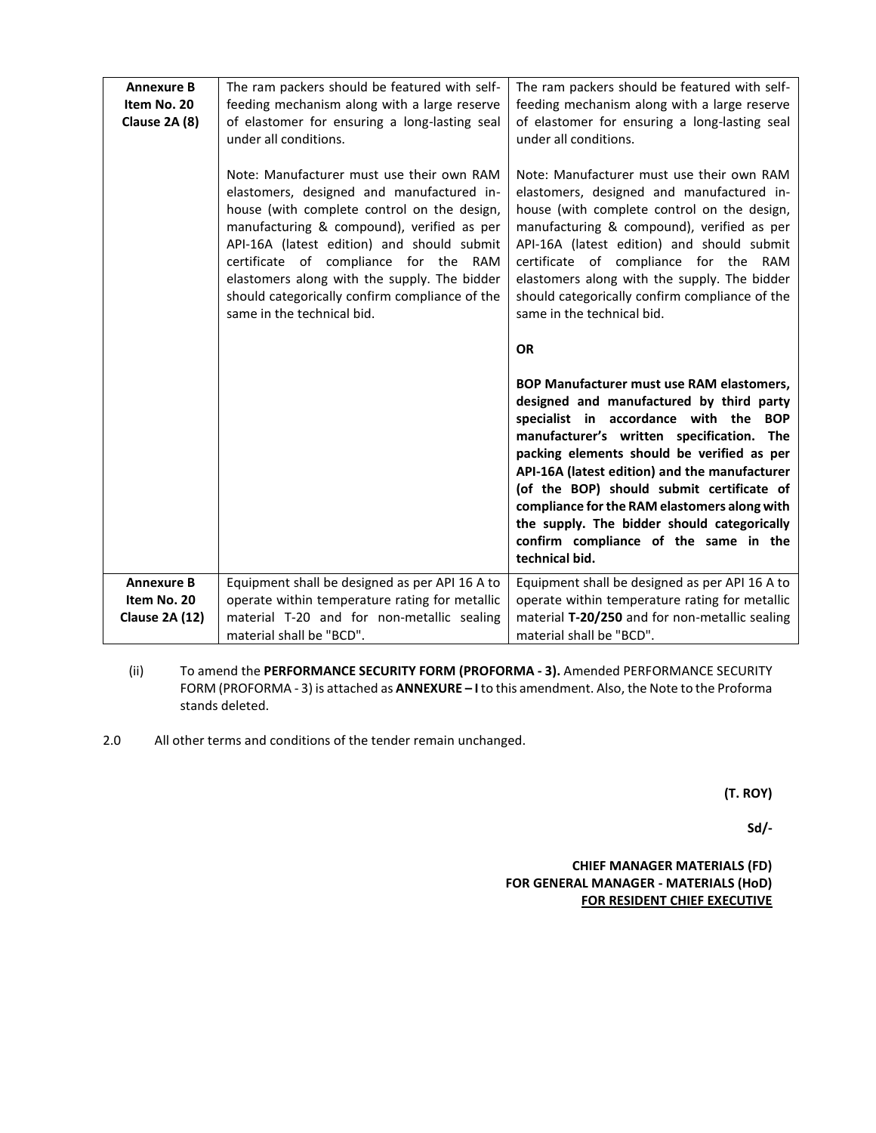| <b>Annexure B</b><br>Item No. 20<br>Clause 2A (8) | The ram packers should be featured with self-<br>feeding mechanism along with a large reserve<br>of elastomer for ensuring a long-lasting seal<br>under all conditions.<br>Note: Manufacturer must use their own RAM<br>elastomers, designed and manufactured in-<br>house (with complete control on the design,<br>manufacturing & compound), verified as per<br>API-16A (latest edition) and should submit<br>certificate of compliance for the RAM<br>elastomers along with the supply. The bidder<br>should categorically confirm compliance of the<br>same in the technical bid. | The ram packers should be featured with self-<br>feeding mechanism along with a large reserve<br>of elastomer for ensuring a long-lasting seal<br>under all conditions.<br>Note: Manufacturer must use their own RAM<br>elastomers, designed and manufactured in-<br>house (with complete control on the design,<br>manufacturing & compound), verified as per<br>API-16A (latest edition) and should submit<br>certificate of compliance for the RAM<br>elastomers along with the supply. The bidder<br>should categorically confirm compliance of the<br>same in the technical bid.<br><b>OR</b><br>BOP Manufacturer must use RAM elastomers,<br>designed and manufactured by third party<br>specialist in accordance with the BOP<br>manufacturer's written specification. The<br>packing elements should be verified as per<br>API-16A (latest edition) and the manufacturer<br>(of the BOP) should submit certificate of |
|---------------------------------------------------|---------------------------------------------------------------------------------------------------------------------------------------------------------------------------------------------------------------------------------------------------------------------------------------------------------------------------------------------------------------------------------------------------------------------------------------------------------------------------------------------------------------------------------------------------------------------------------------|-------------------------------------------------------------------------------------------------------------------------------------------------------------------------------------------------------------------------------------------------------------------------------------------------------------------------------------------------------------------------------------------------------------------------------------------------------------------------------------------------------------------------------------------------------------------------------------------------------------------------------------------------------------------------------------------------------------------------------------------------------------------------------------------------------------------------------------------------------------------------------------------------------------------------------|
|                                                   |                                                                                                                                                                                                                                                                                                                                                                                                                                                                                                                                                                                       | compliance for the RAM elastomers along with<br>the supply. The bidder should categorically<br>confirm compliance of the same in the<br>technical bid.                                                                                                                                                                                                                                                                                                                                                                                                                                                                                                                                                                                                                                                                                                                                                                        |
| <b>Annexure B</b>                                 | Equipment shall be designed as per API 16 A to                                                                                                                                                                                                                                                                                                                                                                                                                                                                                                                                        | Equipment shall be designed as per API 16 A to                                                                                                                                                                                                                                                                                                                                                                                                                                                                                                                                                                                                                                                                                                                                                                                                                                                                                |
| Item No. 20                                       | operate within temperature rating for metallic                                                                                                                                                                                                                                                                                                                                                                                                                                                                                                                                        | operate within temperature rating for metallic                                                                                                                                                                                                                                                                                                                                                                                                                                                                                                                                                                                                                                                                                                                                                                                                                                                                                |
|                                                   |                                                                                                                                                                                                                                                                                                                                                                                                                                                                                                                                                                                       |                                                                                                                                                                                                                                                                                                                                                                                                                                                                                                                                                                                                                                                                                                                                                                                                                                                                                                                               |
| <b>Clause 2A (12)</b>                             | material T-20 and for non-metallic sealing                                                                                                                                                                                                                                                                                                                                                                                                                                                                                                                                            | material T-20/250 and for non-metallic sealing                                                                                                                                                                                                                                                                                                                                                                                                                                                                                                                                                                                                                                                                                                                                                                                                                                                                                |
|                                                   | material shall be "BCD".                                                                                                                                                                                                                                                                                                                                                                                                                                                                                                                                                              | material shall be "BCD".                                                                                                                                                                                                                                                                                                                                                                                                                                                                                                                                                                                                                                                                                                                                                                                                                                                                                                      |

- (ii) To amend the **PERFORMANCE SECURITY FORM (PROFORMA - 3).** Amended PERFORMANCE SECURITY FORM (PROFORMA - 3) is attached as **ANNEXURE – I** to this amendment. Also, the Note to the Proforma stands deleted.
- 2.0 All other terms and conditions of the tender remain unchanged.

**(T. ROY)**

**Sd/-**

**CHIEF MANAGER MATERIALS (FD) FOR GENERAL MANAGER - MATERIALS (HoD) FOR RESIDENT CHIEF EXECUTIVE**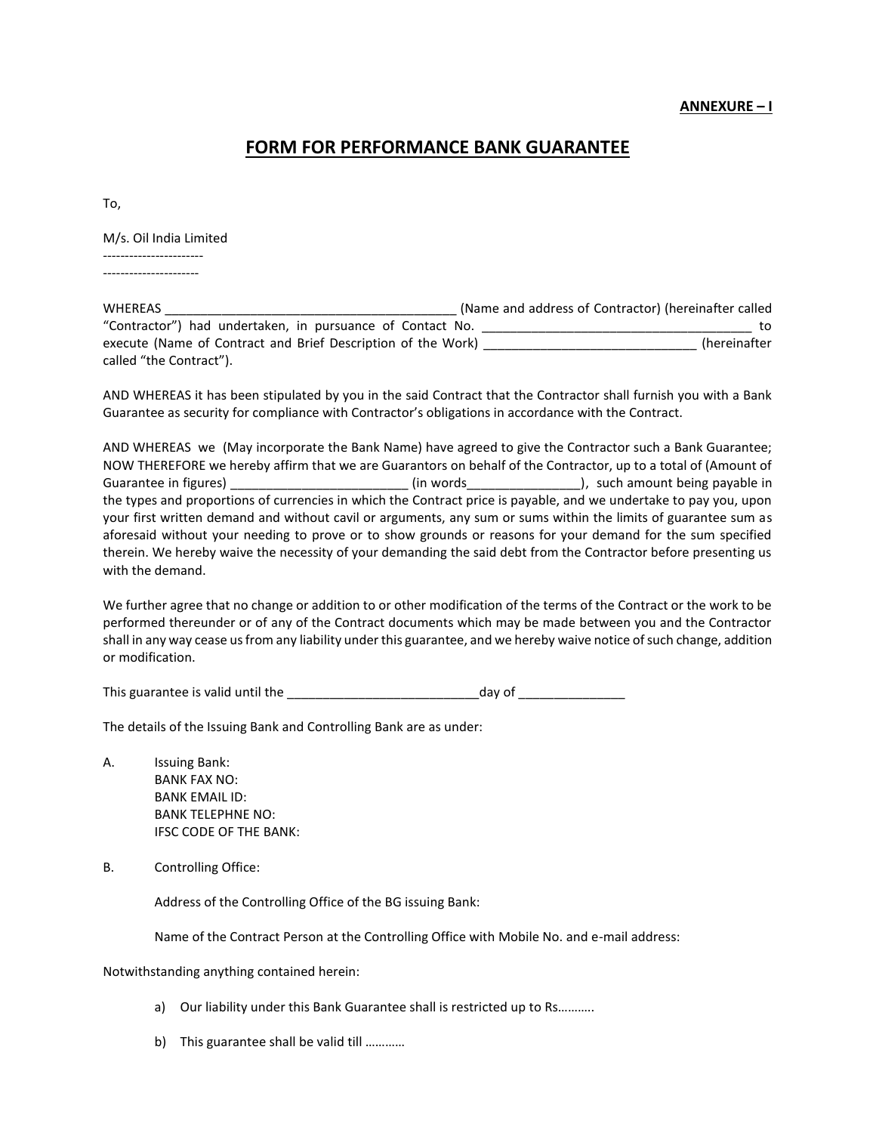## **ANNEXURE – I**

## **FORM FOR PERFORMANCE BANK GUARANTEE**

To,

M/s. Oil India Limited

----------------------- ----------------------

| WHEREAS                                                      | (Name and address of Contractor) (hereinafter called |
|--------------------------------------------------------------|------------------------------------------------------|
| "Contractor") had undertaken, in pursuance of Contact No.    | to.                                                  |
| execute (Name of Contract and Brief Description of the Work) | (hereinafter                                         |
| called "the Contract").                                      |                                                      |

AND WHEREAS it has been stipulated by you in the said Contract that the Contractor shall furnish you with a Bank Guarantee as security for compliance with Contractor's obligations in accordance with the Contract.

AND WHEREAS we (May incorporate the Bank Name) have agreed to give the Contractor such a Bank Guarantee; NOW THEREFORE we hereby affirm that we are Guarantors on behalf of the Contractor, up to a total of (Amount of Guarantee in figures) and the settlem of the vertex (in words and the settlem in the settlem in the settlem in the settlem in the settlem in the settlem in the settlem in the settlem in the settlem in the settlem in the se the types and proportions of currencies in which the Contract price is payable, and we undertake to pay you, upon your first written demand and without cavil or arguments, any sum or sums within the limits of guarantee sum as aforesaid without your needing to prove or to show grounds or reasons for your demand for the sum specified therein. We hereby waive the necessity of your demanding the said debt from the Contractor before presenting us with the demand.

We further agree that no change or addition to or other modification of the terms of the Contract or the work to be performed thereunder or of any of the Contract documents which may be made between you and the Contractor shall in any way cease us from any liability under this guarantee, and we hereby waive notice of such change, addition or modification.

This guarantee is valid until the \_\_\_\_\_\_\_\_\_\_\_\_\_\_\_\_\_\_\_\_\_\_\_\_\_\_\_day of \_\_\_\_\_\_\_\_\_\_\_\_\_\_\_

The details of the Issuing Bank and Controlling Bank are as under:

- A. Issuing Bank: BANK FAX NO: BANK EMAIL ID: BANK TELEPHNE NO: IFSC CODE OF THE BANK:
- B. Controlling Office:

Address of the Controlling Office of the BG issuing Bank:

Name of the Contract Person at the Controlling Office with Mobile No. and e-mail address:

Notwithstanding anything contained herein:

- a) Our liability under this Bank Guarantee shall is restricted up to Rs………..
- b) This guarantee shall be valid till …………